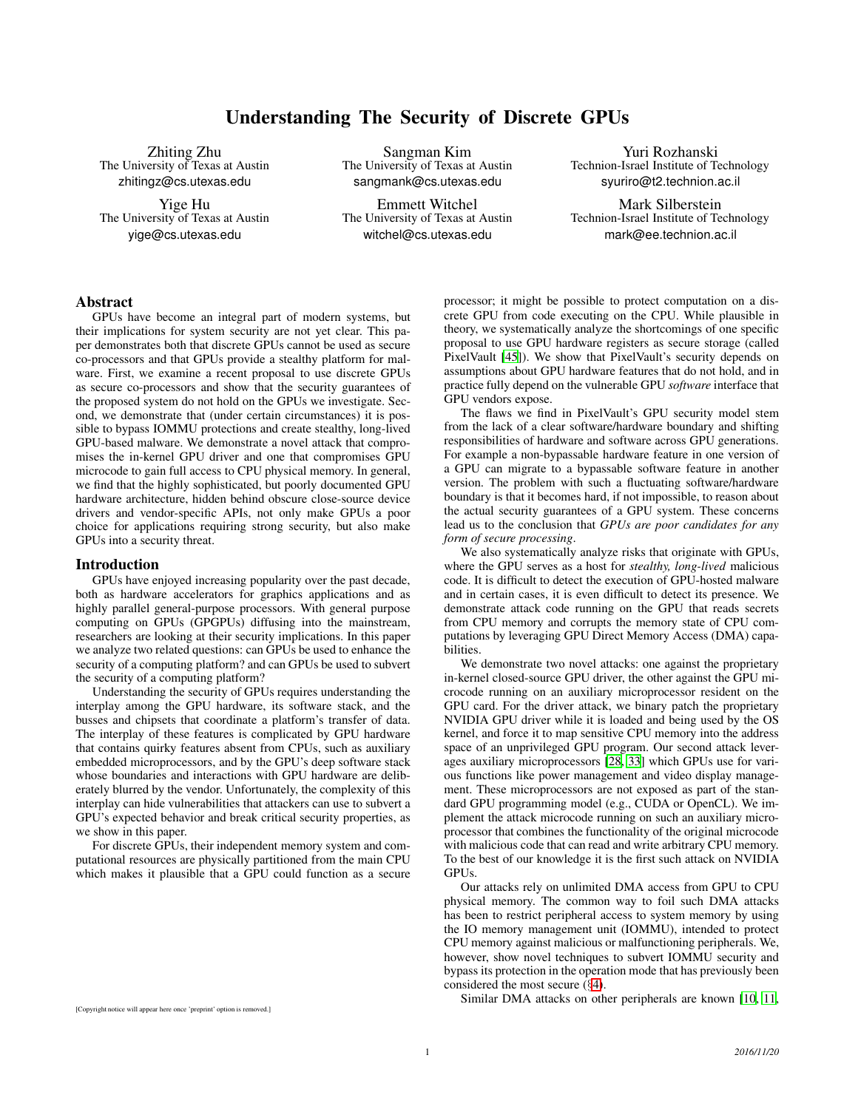# Understanding The Security of Discrete GPUs

Zhiting Zhu The University of Texas at Austin zhitingz@cs.utexas.edu

Yige Hu The University of Texas at Austin yige@cs.utexas.edu

Sangman Kim The University of Texas at Austin sangmank@cs.utexas.edu

Emmett Witchel The University of Texas at Austin witchel@cs.utexas.edu

Yuri Rozhanski Technion-Israel Institute of Technology syuriro@t2.technion.ac.il

Mark Silberstein Technion-Israel Institute of Technology mark@ee.technion.ac.il

# Abstract

GPUs have become an integral part of modern systems, but their implications for system security are not yet clear. This paper demonstrates both that discrete GPUs cannot be used as secure co-processors and that GPUs provide a stealthy platform for malware. First, we examine a recent proposal to use discrete GPUs as secure co-processors and show that the security guarantees of the proposed system do not hold on the GPUs we investigate. Second, we demonstrate that (under certain circumstances) it is possible to bypass IOMMU protections and create stealthy, long-lived GPU-based malware. We demonstrate a novel attack that compromises the in-kernel GPU driver and one that compromises GPU microcode to gain full access to CPU physical memory. In general, we find that the highly sophisticated, but poorly documented GPU hardware architecture, hidden behind obscure close-source device drivers and vendor-specific APIs, not only make GPUs a poor choice for applications requiring strong security, but also make GPUs into a security threat.

### Introduction

GPUs have enjoyed increasing popularity over the past decade, both as hardware accelerators for graphics applications and as highly parallel general-purpose processors. With general purpose computing on GPUs (GPGPUs) diffusing into the mainstream, researchers are looking at their security implications. In this paper we analyze two related questions: can GPUs be used to enhance the security of a computing platform? and can GPUs be used to subvert the security of a computing platform?

Understanding the security of GPUs requires understanding the interplay among the GPU hardware, its software stack, and the busses and chipsets that coordinate a platform's transfer of data. The interplay of these features is complicated by GPU hardware that contains quirky features absent from CPUs, such as auxiliary embedded microprocessors, and by the GPU's deep software stack whose boundaries and interactions with GPU hardware are deliberately blurred by the vendor. Unfortunately, the complexity of this interplay can hide vulnerabilities that attackers can use to subvert a GPU's expected behavior and break critical security properties, as we show in this paper.

For discrete GPUs, their independent memory system and computational resources are physically partitioned from the main CPU which makes it plausible that a GPU could function as a secure

processor; it might be possible to protect computation on a discrete GPU from code executing on the CPU. While plausible in theory, we systematically analyze the shortcomings of one specific proposal to use GPU hardware registers as secure storage (called PixelVault [\[45\]](#page-9-0)). We show that PixelVault's security depends on assumptions about GPU hardware features that do not hold, and in practice fully depend on the vulnerable GPU *software* interface that GPU vendors expose.

The flaws we find in PixelVault's GPU security model stem from the lack of a clear software/hardware boundary and shifting responsibilities of hardware and software across GPU generations. For example a non-bypassable hardware feature in one version of a GPU can migrate to a bypassable software feature in another version. The problem with such a fluctuating software/hardware boundary is that it becomes hard, if not impossible, to reason about the actual security guarantees of a GPU system. These concerns lead us to the conclusion that *GPUs are poor candidates for any form of secure processing*.

We also systematically analyze risks that originate with GPUs, where the GPU serves as a host for *stealthy, long-lived* malicious code. It is difficult to detect the execution of GPU-hosted malware and in certain cases, it is even difficult to detect its presence. We demonstrate attack code running on the GPU that reads secrets from CPU memory and corrupts the memory state of CPU computations by leveraging GPU Direct Memory Access (DMA) capabilities.

We demonstrate two novel attacks: one against the proprietary in-kernel closed-source GPU driver, the other against the GPU microcode running on an auxiliary microprocessor resident on the GPU card. For the driver attack, we binary patch the proprietary NVIDIA GPU driver while it is loaded and being used by the OS kernel, and force it to map sensitive CPU memory into the address space of an unprivileged GPU program. Our second attack leverages auxiliary microprocessors [\[28](#page-9-1), [33](#page-9-2)] which GPUs use for various functions like power management and video display management. These microprocessors are not exposed as part of the standard GPU programming model (e.g., CUDA or OpenCL). We implement the attack microcode running on such an auxiliary microprocessor that combines the functionality of the original microcode with malicious code that can read and write arbitrary CPU memory. To the best of our knowledge it is the first such attack on NVIDIA GPUs.

Our attacks rely on unlimited DMA access from GPU to CPU physical memory. The common way to foil such DMA attacks has been to restrict peripheral access to system memory by using the IO memory management unit (IOMMU), intended to protect CPU memory against malicious or malfunctioning peripherals. We, however, show novel techniques to subvert IOMMU security and bypass its protection in the operation mode that has previously been considered the most secure (§[4\)](#page-3-0).

[Copyright notice will appear here once 'preprint' option is removed.]

Similar DMA attacks on other peripherals are known [\[10,](#page-8-0) [11,](#page-8-1)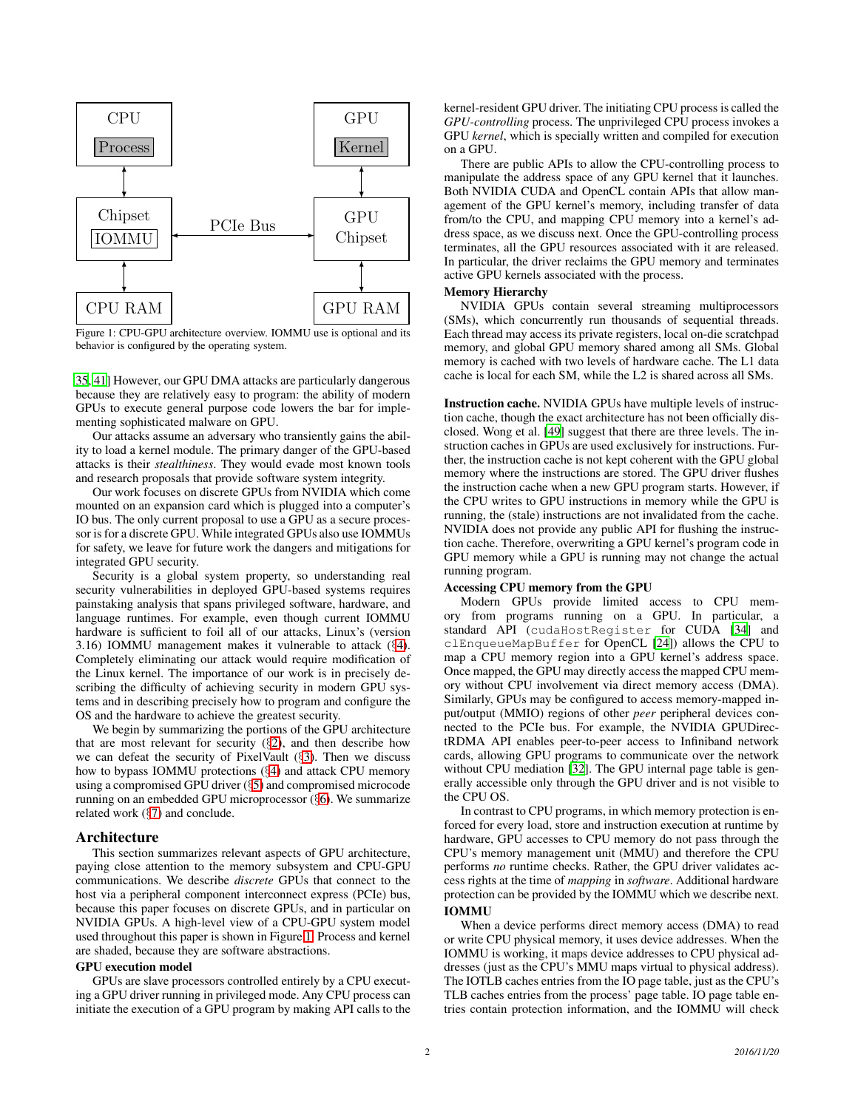<span id="page-1-1"></span>

Figure 1: CPU-GPU architecture overview. IOMMU use is optional and its behavior is configured by the operating system.

[35](#page-9-3), [41](#page-9-4)] However, our GPU DMA attacks are particularly dangerous because they are relatively easy to program: the ability of modern GPUs to execute general purpose code lowers the bar for implementing sophisticated malware on GPU.

Our attacks assume an adversary who transiently gains the ability to load a kernel module. The primary danger of the GPU-based attacks is their *stealthiness*. They would evade most known tools and research proposals that provide software system integrity.

Our work focuses on discrete GPUs from NVIDIA which come mounted on an expansion card which is plugged into a computer's IO bus. The only current proposal to use a GPU as a secure processor is for a discrete GPU. While integrated GPUs also use IOMMUs for safety, we leave for future work the dangers and mitigations for integrated GPU security.

Security is a global system property, so understanding real security vulnerabilities in deployed GPU-based systems requires painstaking analysis that spans privileged software, hardware, and language runtimes. For example, even though current IOMMU hardware is sufficient to foil all of our attacks, Linux's (version 3.16) IOMMU management makes it vulnerable to attack (§[4\)](#page-3-0). Completely eliminating our attack would require modification of the Linux kernel. The importance of our work is in precisely describing the difficulty of achieving security in modern GPU systems and in describing precisely how to program and configure the OS and the hardware to achieve the greatest security.

We begin by summarizing the portions of the GPU architecture that are most relevant for security  $(\S 2)$  $(\S 2)$ , and then describe how we can defeat the security of PixelVault (§[3\)](#page-2-0). Then we discuss how to bypass IOMMU protections (§[4\)](#page-3-0) and attack CPU memory using a compromised GPU driver (§[5\)](#page-5-0) and compromised microcode running on an embedded GPU microprocessor (§[6\)](#page-6-0). We summarize related work (§[7\)](#page-7-0) and conclude.

### <span id="page-1-0"></span>Architecture

This section summarizes relevant aspects of GPU architecture, paying close attention to the memory subsystem and CPU-GPU communications. We describe *discrete* GPUs that connect to the host via a peripheral component interconnect express (PCIe) bus, because this paper focuses on discrete GPUs, and in particular on NVIDIA GPUs. A high-level view of a CPU-GPU system model used throughout this paper is shown in Figure [1.](#page-1-1) Process and kernel are shaded, because they are software abstractions.

### GPU execution model

GPUs are slave processors controlled entirely by a CPU executing a GPU driver running in privileged mode. Any CPU process can initiate the execution of a GPU program by making API calls to the kernel-resident GPU driver. The initiating CPU process is called the *GPU-controlling* process. The unprivileged CPU process invokes a GPU *kernel*, which is specially written and compiled for execution on a GPU.

There are public APIs to allow the CPU-controlling process to manipulate the address space of any GPU kernel that it launches. Both NVIDIA CUDA and OpenCL contain APIs that allow management of the GPU kernel's memory, including transfer of data from/to the CPU, and mapping CPU memory into a kernel's address space, as we discuss next. Once the GPU-controlling process terminates, all the GPU resources associated with it are released. In particular, the driver reclaims the GPU memory and terminates active GPU kernels associated with the process.

### Memory Hierarchy

NVIDIA GPUs contain several streaming multiprocessors (SMs), which concurrently run thousands of sequential threads. Each thread may access its private registers, local on-die scratchpad memory, and global GPU memory shared among all SMs. Global memory is cached with two levels of hardware cache. The L1 data cache is local for each SM, while the L2 is shared across all SMs.

Instruction cache. NVIDIA GPUs have multiple levels of instruction cache, though the exact architecture has not been officially disclosed. Wong et al. [\[49](#page-9-5)] suggest that there are three levels. The instruction caches in GPUs are used exclusively for instructions. Further, the instruction cache is not kept coherent with the GPU global memory where the instructions are stored. The GPU driver flushes the instruction cache when a new GPU program starts. However, if the CPU writes to GPU instructions in memory while the GPU is running, the (stale) instructions are not invalidated from the cache. NVIDIA does not provide any public API for flushing the instruction cache. Therefore, overwriting a GPU kernel's program code in GPU memory while a GPU is running may not change the actual running program.

#### Accessing CPU memory from the GPU

Modern GPUs provide limited access to CPU memory from programs running on a GPU. In particular, a standard API (cudaHostRegister for CUDA [\[34](#page-9-6)] and clEnqueueMapBuffer for OpenCL [\[24\]](#page-9-7)) allows the CPU to map a CPU memory region into a GPU kernel's address space. Once mapped, the GPU may directly access the mapped CPU memory without CPU involvement via direct memory access (DMA). Similarly, GPUs may be configured to access memory-mapped input/output (MMIO) regions of other *peer* peripheral devices connected to the PCIe bus. For example, the NVIDIA GPUDirectRDMA API enables peer-to-peer access to Infiniband network cards, allowing GPU programs to communicate over the network without CPU mediation [\[32](#page-9-8)]. The GPU internal page table is generally accessible only through the GPU driver and is not visible to the CPU OS.

In contrast to CPU programs, in which memory protection is enforced for every load, store and instruction execution at runtime by hardware, GPU accesses to CPU memory do not pass through the CPU's memory management unit (MMU) and therefore the CPU performs *no* runtime checks. Rather, the GPU driver validates access rights at the time of *mapping* in *software*. Additional hardware protection can be provided by the IOMMU which we describe next. IOMMU

When a device performs direct memory access (DMA) to read or write CPU physical memory, it uses device addresses. When the IOMMU is working, it maps device addresses to CPU physical addresses (just as the CPU's MMU maps virtual to physical address). The IOTLB caches entries from the IO page table, just as the CPU's TLB caches entries from the process' page table. IO page table entries contain protection information, and the IOMMU will check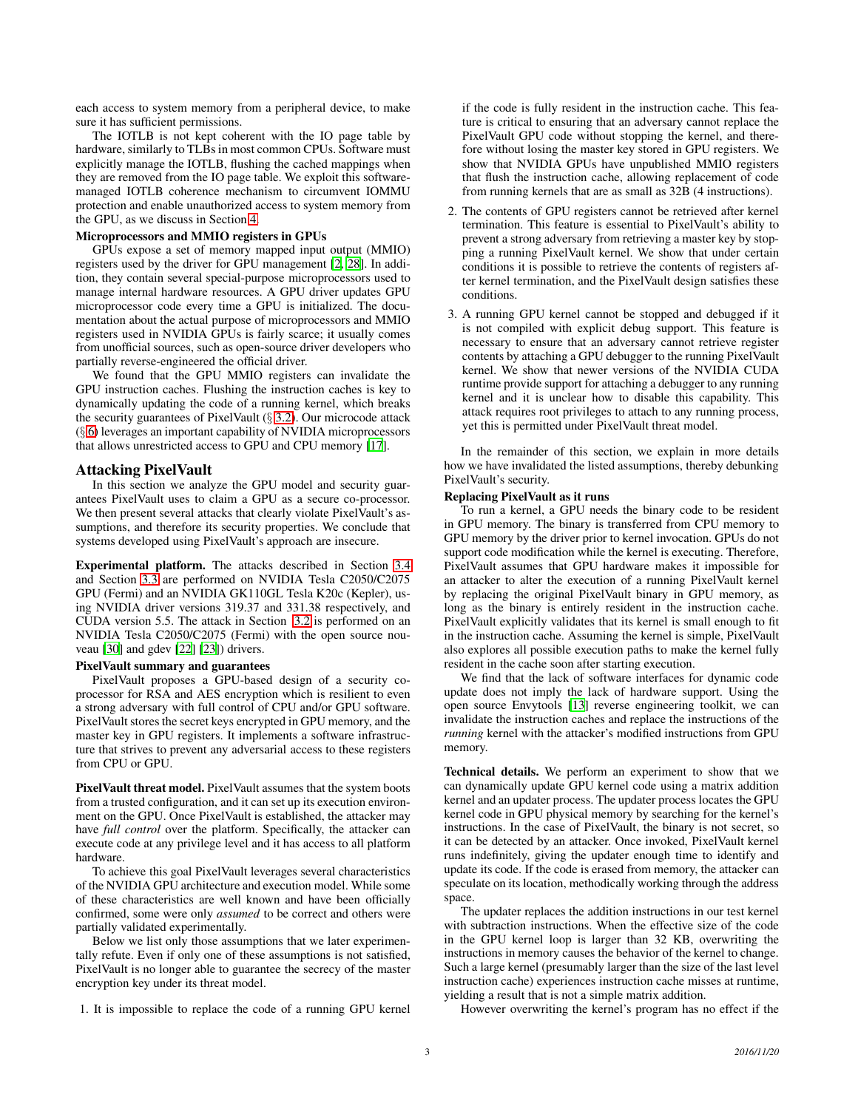each access to system memory from a peripheral device, to make sure it has sufficient permissions.

The IOTLB is not kept coherent with the IO page table by hardware, similarly to TLBs in most common CPUs. Software must explicitly manage the IOTLB, flushing the cached mappings when they are removed from the IO page table. We exploit this softwaremanaged IOTLB coherence mechanism to circumvent IOMMU protection and enable unauthorized access to system memory from the GPU, as we discuss in Section [4.](#page-3-0)

### Microprocessors and MMIO registers in GPUs

GPUs expose a set of memory mapped input output (MMIO) registers used by the driver for GPU management [\[2](#page-8-2), [28](#page-9-1)]. In addition, they contain several special-purpose microprocessors used to manage internal hardware resources. A GPU driver updates GPU microprocessor code every time a GPU is initialized. The documentation about the actual purpose of microprocessors and MMIO registers used in NVIDIA GPUs is fairly scarce; it usually comes from unofficial sources, such as open-source driver developers who partially reverse-engineered the official driver.

We found that the GPU MMIO registers can invalidate the GPU instruction caches. Flushing the instruction caches is key to dynamically updating the code of a running kernel, which breaks the security guarantees of PixelVault (§ [3.2\)](#page-2-1). Our microcode attack (§ [6\)](#page-6-0) leverages an important capability of NVIDIA microprocessors that allows unrestricted access to GPU and CPU memory [\[17](#page-9-9)].

### <span id="page-2-0"></span>Attacking PixelVault

In this section we analyze the GPU model and security guarantees PixelVault uses to claim a GPU as a secure co-processor. We then present several attacks that clearly violate PixelVault's assumptions, and therefore its security properties. We conclude that systems developed using PixelVault's approach are insecure.

Experimental platform. The attacks described in Section [3.4](#page-3-1) and Section [3.3](#page-3-2) are performed on NVIDIA Tesla C2050/C2075 GPU (Fermi) and an NVIDIA GK110GL Tesla K20c (Kepler), using NVIDIA driver versions 319.37 and 331.38 respectively, and CUDA version 5.5. The attack in Section [3.2](#page-2-1) is performed on an NVIDIA Tesla C2050/C2075 (Fermi) with the open source nouveau [\[30\]](#page-9-10) and gdev [\[22\]](#page-9-11) [\[23\]](#page-9-12)) drivers.

### PixelVault summary and guarantees

PixelVault proposes a GPU-based design of a security coprocessor for RSA and AES encryption which is resilient to even a strong adversary with full control of CPU and/or GPU software. PixelVault stores the secret keys encrypted in GPU memory, and the master key in GPU registers. It implements a software infrastructure that strives to prevent any adversarial access to these registers from CPU or GPU.

PixelVault threat model. PixelVault assumes that the system boots from a trusted configuration, and it can set up its execution environment on the GPU. Once PixelVault is established, the attacker may have *full control* over the platform. Specifically, the attacker can execute code at any privilege level and it has access to all platform hardware.

To achieve this goal PixelVault leverages several characteristics of the NVIDIA GPU architecture and execution model. While some of these characteristics are well known and have been officially confirmed, some were only *assumed* to be correct and others were partially validated experimentally.

Below we list only those assumptions that we later experimentally refute. Even if only one of these assumptions is not satisfied, PixelVault is no longer able to guarantee the secrecy of the master encryption key under its threat model.

1. It is impossible to replace the code of a running GPU kernel

if the code is fully resident in the instruction cache. This feature is critical to ensuring that an adversary cannot replace the PixelVault GPU code without stopping the kernel, and therefore without losing the master key stored in GPU registers. We show that NVIDIA GPUs have unpublished MMIO registers that flush the instruction cache, allowing replacement of code from running kernels that are as small as 32B (4 instructions).

- 2. The contents of GPU registers cannot be retrieved after kernel termination. This feature is essential to PixelVault's ability to prevent a strong adversary from retrieving a master key by stopping a running PixelVault kernel. We show that under certain conditions it is possible to retrieve the contents of registers after kernel termination, and the PixelVault design satisfies these conditions.
- 3. A running GPU kernel cannot be stopped and debugged if it is not compiled with explicit debug support. This feature is necessary to ensure that an adversary cannot retrieve register contents by attaching a GPU debugger to the running PixelVault kernel. We show that newer versions of the NVIDIA CUDA runtime provide support for attaching a debugger to any running kernel and it is unclear how to disable this capability. This attack requires root privileges to attach to any running process, yet this is permitted under PixelVault threat model.

In the remainder of this section, we explain in more details how we have invalidated the listed assumptions, thereby debunking PixelVault's security.

### <span id="page-2-1"></span>Replacing PixelVault as it runs

To run a kernel, a GPU needs the binary code to be resident in GPU memory. The binary is transferred from CPU memory to GPU memory by the driver prior to kernel invocation. GPUs do not support code modification while the kernel is executing. Therefore, PixelVault assumes that GPU hardware makes it impossible for an attacker to alter the execution of a running PixelVault kernel by replacing the original PixelVault binary in GPU memory, as long as the binary is entirely resident in the instruction cache. PixelVault explicitly validates that its kernel is small enough to fit in the instruction cache. Assuming the kernel is simple, PixelVault also explores all possible execution paths to make the kernel fully resident in the cache soon after starting execution.

We find that the lack of software interfaces for dynamic code update does not imply the lack of hardware support. Using the open source Envytools [\[13](#page-8-3)] reverse engineering toolkit, we can invalidate the instruction caches and replace the instructions of the *running* kernel with the attacker's modified instructions from GPU memory.

Technical details. We perform an experiment to show that we can dynamically update GPU kernel code using a matrix addition kernel and an updater process. The updater process locates the GPU kernel code in GPU physical memory by searching for the kernel's instructions. In the case of PixelVault, the binary is not secret, so it can be detected by an attacker. Once invoked, PixelVault kernel runs indefinitely, giving the updater enough time to identify and update its code. If the code is erased from memory, the attacker can speculate on its location, methodically working through the address space.

The updater replaces the addition instructions in our test kernel with subtraction instructions. When the effective size of the code in the GPU kernel loop is larger than 32 KB, overwriting the instructions in memory causes the behavior of the kernel to change. Such a large kernel (presumably larger than the size of the last level instruction cache) experiences instruction cache misses at runtime, yielding a result that is not a simple matrix addition.

However overwriting the kernel's program has no effect if the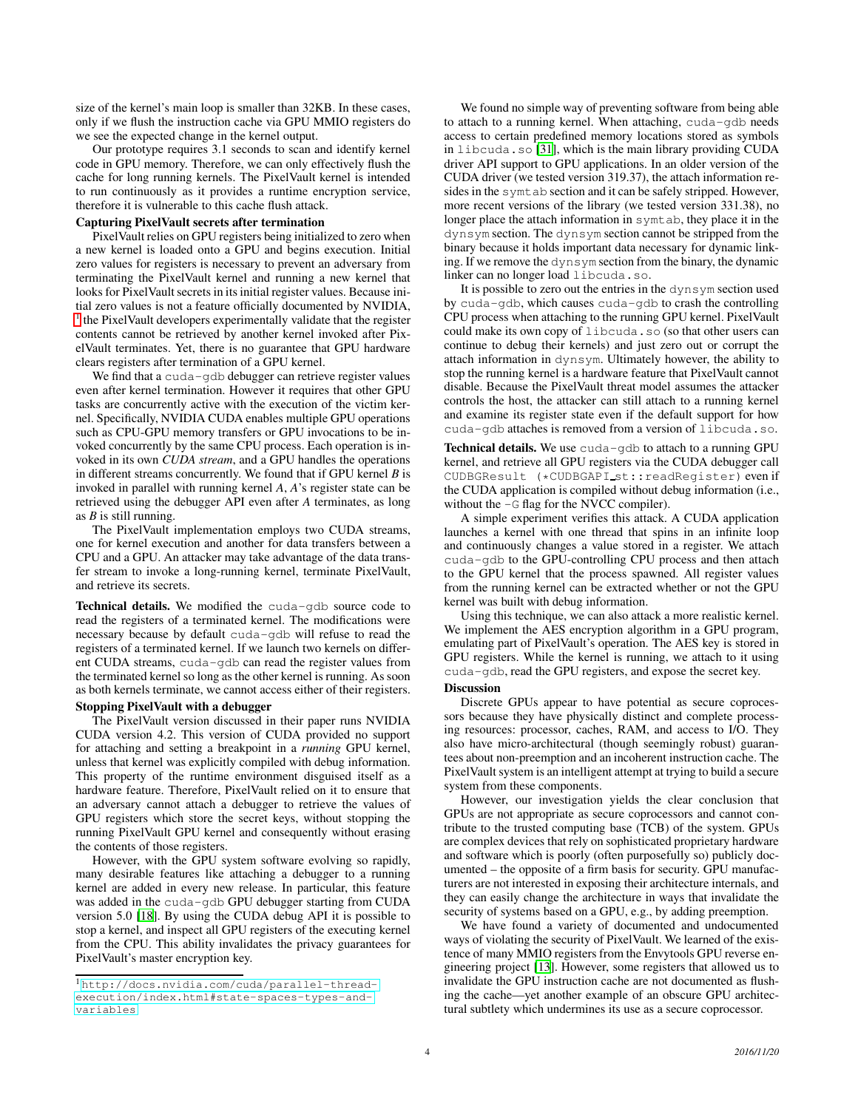size of the kernel's main loop is smaller than 32KB. In these cases, only if we flush the instruction cache via GPU MMIO registers do we see the expected change in the kernel output.

Our prototype requires 3.1 seconds to scan and identify kernel code in GPU memory. Therefore, we can only effectively flush the cache for long running kernels. The PixelVault kernel is intended to run continuously as it provides a runtime encryption service, therefore it is vulnerable to this cache flush attack.

### <span id="page-3-2"></span>Capturing PixelVault secrets after termination

PixelVault relies on GPU registers being initialized to zero when a new kernel is loaded onto a GPU and begins execution. Initial zero values for registers is necessary to prevent an adversary from terminating the PixelVault kernel and running a new kernel that looks for PixelVault secrets in its initial register values. Because initial zero values is not a feature officially documented by NVIDIA, <sup>[1](#page-3-3)</sup> the PixelVault developers experimentally validate that the register contents cannot be retrieved by another kernel invoked after PixelVault terminates. Yet, there is no guarantee that GPU hardware clears registers after termination of a GPU kernel.

We find that a cuda-gdb debugger can retrieve register values even after kernel termination. However it requires that other GPU tasks are concurrently active with the execution of the victim kernel. Specifically, NVIDIA CUDA enables multiple GPU operations such as CPU-GPU memory transfers or GPU invocations to be invoked concurrently by the same CPU process. Each operation is invoked in its own *CUDA stream*, and a GPU handles the operations in different streams concurrently. We found that if GPU kernel *B* is invoked in parallel with running kernel *A*, *A*'s register state can be retrieved using the debugger API even after *A* terminates, as long as *B* is still running.

The PixelVault implementation employs two CUDA streams, one for kernel execution and another for data transfers between a CPU and a GPU. An attacker may take advantage of the data transfer stream to invoke a long-running kernel, terminate PixelVault, and retrieve its secrets.

Technical details. We modified the cuda-gdb source code to read the registers of a terminated kernel. The modifications were necessary because by default cuda-gdb will refuse to read the registers of a terminated kernel. If we launch two kernels on different CUDA streams, cuda-gdb can read the register values from the terminated kernel so long as the other kernel is running. As soon as both kernels terminate, we cannot access either of their registers.

### <span id="page-3-1"></span>Stopping PixelVault with a debugger

The PixelVault version discussed in their paper runs NVIDIA CUDA version 4.2. This version of CUDA provided no support for attaching and setting a breakpoint in a *running* GPU kernel, unless that kernel was explicitly compiled with debug information. This property of the runtime environment disguised itself as a hardware feature. Therefore, PixelVault relied on it to ensure that an adversary cannot attach a debugger to retrieve the values of GPU registers which store the secret keys, without stopping the running PixelVault GPU kernel and consequently without erasing the contents of those registers.

However, with the GPU system software evolving so rapidly, many desirable features like attaching a debugger to a running kernel are added in every new release. In particular, this feature was added in the cuda-gdb GPU debugger starting from CUDA version 5.0 [\[18](#page-9-13)]. By using the CUDA debug API it is possible to stop a kernel, and inspect all GPU registers of the executing kernel from the CPU. This ability invalidates the privacy guarantees for PixelVault's master encryption key.

We found no simple way of preventing software from being able to attach to a running kernel. When attaching, cuda-gdb needs access to certain predefined memory locations stored as symbols in libcuda.so [\[31](#page-9-14)], which is the main library providing CUDA driver API support to GPU applications. In an older version of the CUDA driver (we tested version 319.37), the attach information resides in the symtab section and it can be safely stripped. However, more recent versions of the library (we tested version 331.38), no longer place the attach information in symtab, they place it in the dynsym section. The dynsym section cannot be stripped from the binary because it holds important data necessary for dynamic linking. If we remove the dynsym section from the binary, the dynamic linker can no longer load libcuda.so.

It is possible to zero out the entries in the dynsym section used by cuda-gdb, which causes cuda-gdb to crash the controlling CPU process when attaching to the running GPU kernel. PixelVault could make its own copy of libcuda.so (so that other users can continue to debug their kernels) and just zero out or corrupt the attach information in dynsym. Ultimately however, the ability to stop the running kernel is a hardware feature that PixelVault cannot disable. Because the PixelVault threat model assumes the attacker controls the host, the attacker can still attach to a running kernel and examine its register state even if the default support for how cuda-qdb attaches is removed from a version of libcuda.so.

Technical details. We use cuda-gdb to attach to a running GPU kernel, and retrieve all GPU registers via the CUDA debugger call CUDBGResult (\*CUDBGAPI\_st::readRegister) even if the CUDA application is compiled without debug information (i.e., without the  $-G$  flag for the NVCC compiler).

A simple experiment verifies this attack. A CUDA application launches a kernel with one thread that spins in an infinite loop and continuously changes a value stored in a register. We attach cuda-gdb to the GPU-controlling CPU process and then attach to the GPU kernel that the process spawned. All register values from the running kernel can be extracted whether or not the GPU kernel was built with debug information.

Using this technique, we can also attack a more realistic kernel. We implement the AES encryption algorithm in a GPU program, emulating part of PixelVault's operation. The AES key is stored in GPU registers. While the kernel is running, we attach to it using cuda-gdb, read the GPU registers, and expose the secret key.

# Discussion

Discrete GPUs appear to have potential as secure coprocessors because they have physically distinct and complete processing resources: processor, caches, RAM, and access to I/O. They also have micro-architectural (though seemingly robust) guarantees about non-preemption and an incoherent instruction cache. The PixelVault system is an intelligent attempt at trying to build a secure system from these components.

However, our investigation yields the clear conclusion that GPUs are not appropriate as secure coprocessors and cannot contribute to the trusted computing base (TCB) of the system. GPUs are complex devices that rely on sophisticated proprietary hardware and software which is poorly (often purposefully so) publicly documented – the opposite of a firm basis for security. GPU manufacturers are not interested in exposing their architecture internals, and they can easily change the architecture in ways that invalidate the security of systems based on a GPU, e.g., by adding preemption.

<span id="page-3-0"></span>We have found a variety of documented and undocumented ways of violating the security of PixelVault. We learned of the existence of many MMIO registers from the Envytools GPU reverse engineering project [\[13\]](#page-8-3). However, some registers that allowed us to invalidate the GPU instruction cache are not documented as flushing the cache—yet another example of an obscure GPU architectural subtlety which undermines its use as a secure coprocessor.

<span id="page-3-3"></span><sup>1</sup> [http://docs.nvidia.com/cuda/parallel-thread](http://docs.nvidia.com/cuda/parallel-thread-execution/index.html#state-spaces-types-and-variables)[execution/index.html#state-spaces-types-and](http://docs.nvidia.com/cuda/parallel-thread-execution/index.html#state-spaces-types-and-variables)[variables](http://docs.nvidia.com/cuda/parallel-thread-execution/index.html#state-spaces-types-and-variables)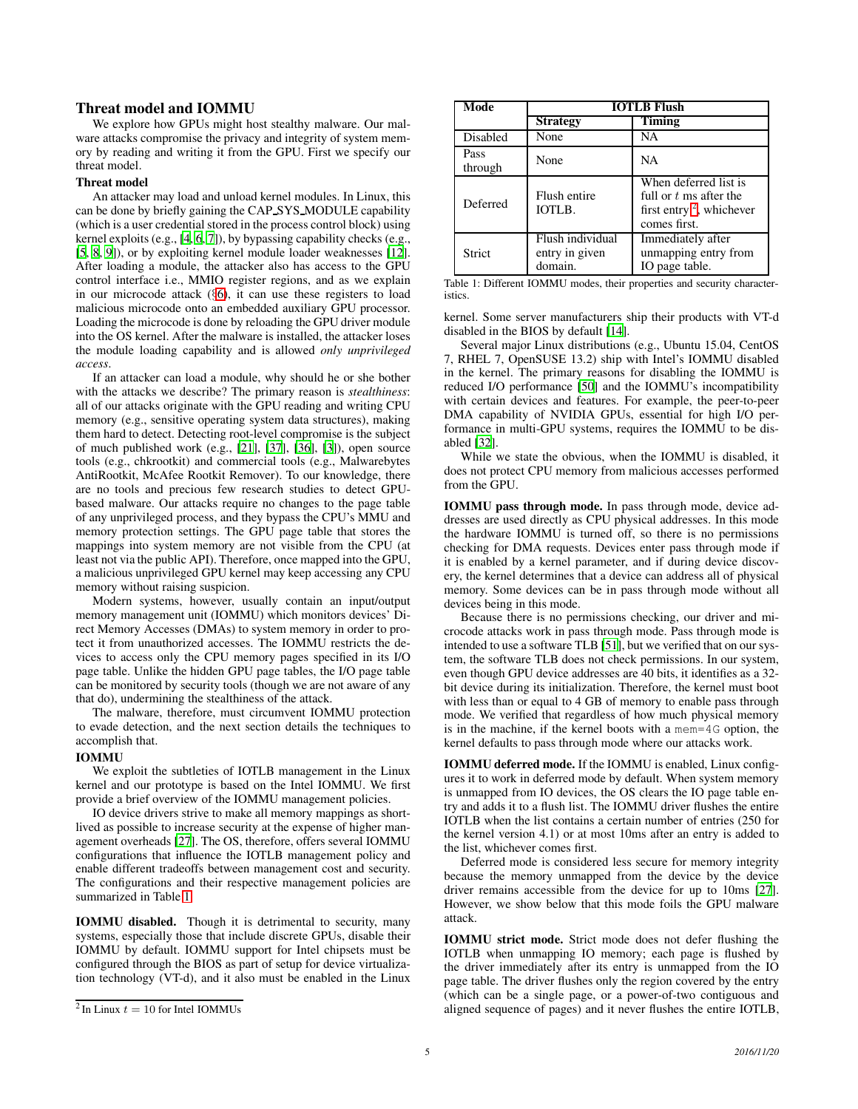# Threat model and IOMMU

We explore how GPUs might host stealthy malware. Our malware attacks compromise the privacy and integrity of system memory by reading and writing it from the GPU. First we specify our threat model.

# Threat model

An attacker may load and unload kernel modules. In Linux, this can be done by briefly gaining the CAP SYS MODULE capability (which is a user credential stored in the process control block) using kernel exploits (e.g., [\[4,](#page-8-4) [6](#page-8-5), [7\]](#page-8-6)), by bypassing capability checks (e.g., [\[5](#page-8-7), [8,](#page-8-8) [9](#page-8-9)]), or by exploiting kernel module loader weaknesses [\[12\]](#page-8-10). After loading a module, the attacker also has access to the GPU control interface i.e., MMIO register regions, and as we explain in our microcode attack (§[6\)](#page-6-0), it can use these registers to load malicious microcode onto an embedded auxiliary GPU processor. Loading the microcode is done by reloading the GPU driver module into the OS kernel. After the malware is installed, the attacker loses the module loading capability and is allowed *only unprivileged access*.

If an attacker can load a module, why should he or she bother with the attacks we describe? The primary reason is *stealthiness*: all of our attacks originate with the GPU reading and writing CPU memory (e.g., sensitive operating system data structures), making them hard to detect. Detecting root-level compromise is the subject of much published work (e.g., [\[21\]](#page-9-15), [\[37](#page-9-16)], [\[36\]](#page-9-17), [\[3\]](#page-8-11)), open source tools (e.g., chkrootkit) and commercial tools (e.g., Malwarebytes AntiRootkit, McAfee Rootkit Remover). To our knowledge, there are no tools and precious few research studies to detect GPUbased malware. Our attacks require no changes to the page table of any unprivileged process, and they bypass the CPU's MMU and memory protection settings. The GPU page table that stores the mappings into system memory are not visible from the CPU (at least not via the public API). Therefore, once mapped into the GPU, a malicious unprivileged GPU kernel may keep accessing any CPU memory without raising suspicion.

Modern systems, however, usually contain an input/output memory management unit (IOMMU) which monitors devices' Direct Memory Accesses (DMAs) to system memory in order to protect it from unauthorized accesses. The IOMMU restricts the devices to access only the CPU memory pages specified in its I/O page table. Unlike the hidden GPU page tables, the I/O page table can be monitored by security tools (though we are not aware of any that do), undermining the stealthiness of the attack.

The malware, therefore, must circumvent IOMMU protection to evade detection, and the next section details the techniques to accomplish that.

### IOMMU

We exploit the subtleties of IOTLB management in the Linux kernel and our prototype is based on the Intel IOMMU. We first provide a brief overview of the IOMMU management policies.

IO device drivers strive to make all memory mappings as shortlived as possible to increase security at the expense of higher management overheads [\[27](#page-9-18)]. The OS, therefore, offers several IOMMU configurations that influence the IOTLB management policy and enable different tradeoffs between management cost and security. The configurations and their respective management policies are summarized in Table [1.](#page-4-0)

IOMMU disabled. Though it is detrimental to security, many systems, especially those that include discrete GPUs, disable their IOMMU by default. IOMMU support for Intel chipsets must be configured through the BIOS as part of setup for device virtualization technology (VT-d), and it also must be enabled in the Linux

<span id="page-4-0"></span>

| Mode            | <b>IOTLB Flush</b>                            |                                                                                                  |  |
|-----------------|-----------------------------------------------|--------------------------------------------------------------------------------------------------|--|
|                 | <b>Strategy</b>                               | Timing                                                                                           |  |
| Disabled        | None                                          | NА                                                                                               |  |
| Pass<br>through | None                                          | NA                                                                                               |  |
| Deferred        | Flush entire<br>IOTLB.                        | When deferred list is<br>full or $t$ ms after the<br>first entry $2$ , whichever<br>comes first. |  |
| Strict          | Flush individual<br>entry in given<br>domain. | Immediately after<br>unmapping entry from<br>IO page table.                                      |  |

Table 1: Different IOMMU modes, their properties and security characteristics.

kernel. Some server manufacturers ship their products with VT-d disabled in the BIOS by default [\[14](#page-9-19)].

Several major Linux distributions (e.g., Ubuntu 15.04, CentOS 7, RHEL 7, OpenSUSE 13.2) ship with Intel's IOMMU disabled in the kernel. The primary reasons for disabling the IOMMU is reduced I/O performance [\[50\]](#page-9-20) and the IOMMU's incompatibility with certain devices and features. For example, the peer-to-peer DMA capability of NVIDIA GPUs, essential for high I/O performance in multi-GPU systems, requires the IOMMU to be disabled [\[32\]](#page-9-8).

While we state the obvious, when the IOMMU is disabled, it does not protect CPU memory from malicious accesses performed from the GPU.

IOMMU pass through mode. In pass through mode, device addresses are used directly as CPU physical addresses. In this mode the hardware IOMMU is turned off, so there is no permissions checking for DMA requests. Devices enter pass through mode if it is enabled by a kernel parameter, and if during device discovery, the kernel determines that a device can address all of physical memory. Some devices can be in pass through mode without all devices being in this mode.

Because there is no permissions checking, our driver and microcode attacks work in pass through mode. Pass through mode is intended to use a software TLB [\[51\]](#page-9-21), but we verified that on our system, the software TLB does not check permissions. In our system, even though GPU device addresses are 40 bits, it identifies as a 32 bit device during its initialization. Therefore, the kernel must boot with less than or equal to 4 GB of memory to enable pass through mode. We verified that regardless of how much physical memory is in the machine, if the kernel boots with a mem=4G option, the kernel defaults to pass through mode where our attacks work.

IOMMU deferred mode. If the IOMMU is enabled, Linux configures it to work in deferred mode by default. When system memory is unmapped from IO devices, the OS clears the IO page table entry and adds it to a flush list. The IOMMU driver flushes the entire IOTLB when the list contains a certain number of entries (250 for the kernel version 4.1) or at most 10ms after an entry is added to the list, whichever comes first.

Deferred mode is considered less secure for memory integrity because the memory unmapped from the device by the device driver remains accessible from the device for up to 10ms [\[27\]](#page-9-18). However, we show below that this mode foils the GPU malware attack.

IOMMU strict mode. Strict mode does not defer flushing the IOTLB when unmapping IO memory; each page is flushed by the driver immediately after its entry is unmapped from the IO page table. The driver flushes only the region covered by the entry (which can be a single page, or a power-of-two contiguous and aligned sequence of pages) and it never flushes the entire IOTLB,

<span id="page-4-1"></span><sup>&</sup>lt;sup>2</sup> In Linux  $t = 10$  for Intel IOMMUs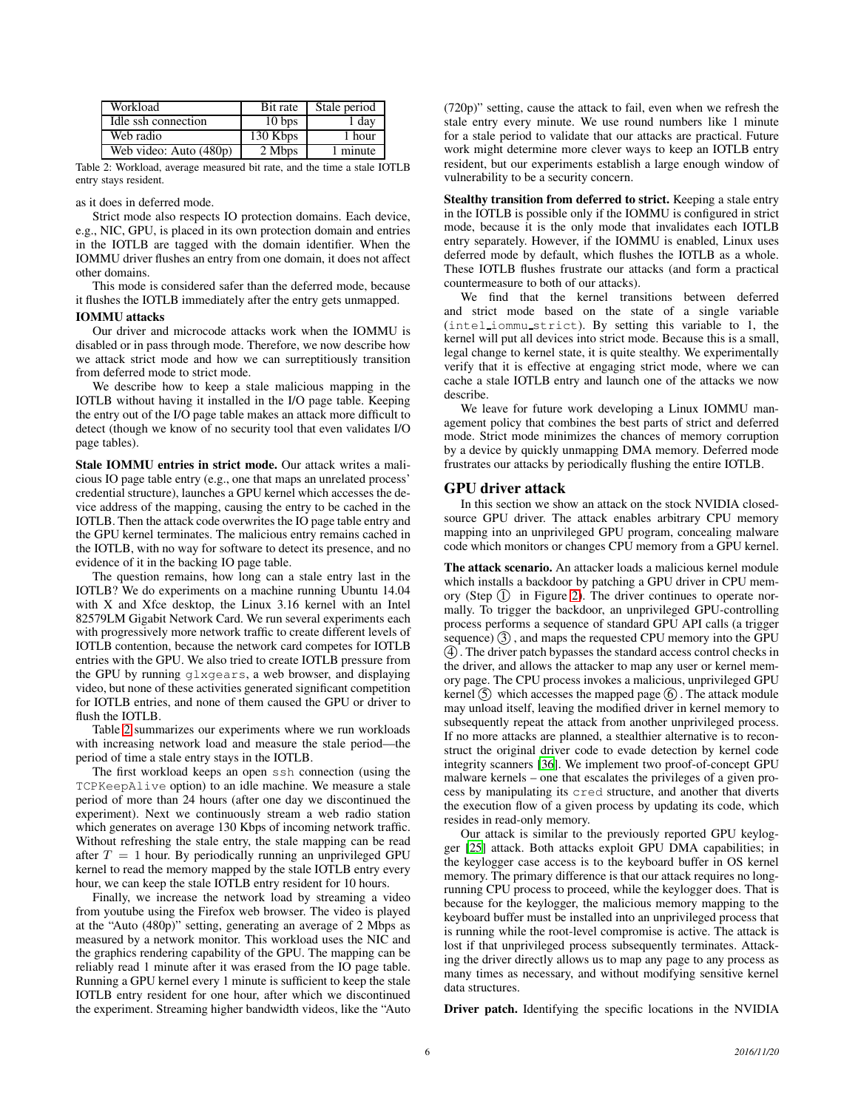<span id="page-5-1"></span>

| Workload               | Bit rate          | Stale period |
|------------------------|-------------------|--------------|
| Idle ssh connection    | 10 <sub>bps</sub> | 1 day        |
| Web radio              | 130 Kbps          | 1 hour       |
| Web video: Auto (480p) | 2 Mbps            | 1 minute     |

Table 2: Workload, average measured bit rate, and the time a stale IOTLB entry stays resident.

as it does in deferred mode.

Strict mode also respects IO protection domains. Each device, e.g., NIC, GPU, is placed in its own protection domain and entries in the IOTLB are tagged with the domain identifier. When the IOMMU driver flushes an entry from one domain, it does not affect other domains.

This mode is considered safer than the deferred mode, because it flushes the IOTLB immediately after the entry gets unmapped.

#### IOMMU attacks

Our driver and microcode attacks work when the IOMMU is disabled or in pass through mode. Therefore, we now describe how we attack strict mode and how we can surreptitiously transition from deferred mode to strict mode.

We describe how to keep a stale malicious mapping in the IOTLB without having it installed in the I/O page table. Keeping the entry out of the I/O page table makes an attack more difficult to detect (though we know of no security tool that even validates I/O page tables).

Stale IOMMU entries in strict mode. Our attack writes a malicious IO page table entry (e.g., one that maps an unrelated process' credential structure), launches a GPU kernel which accesses the device address of the mapping, causing the entry to be cached in the IOTLB. Then the attack code overwrites the IO page table entry and the GPU kernel terminates. The malicious entry remains cached in the IOTLB, with no way for software to detect its presence, and no evidence of it in the backing IO page table.

The question remains, how long can a stale entry last in the IOTLB? We do experiments on a machine running Ubuntu 14.04 with X and Xfce desktop, the Linux 3.16 kernel with an Intel 82579LM Gigabit Network Card. We run several experiments each with progressively more network traffic to create different levels of IOTLB contention, because the network card competes for IOTLB entries with the GPU. We also tried to create IOTLB pressure from the GPU by running glxgears, a web browser, and displaying video, but none of these activities generated significant competition for IOTLB entries, and none of them caused the GPU or driver to flush the IOTLB.

Table [2](#page-5-1) summarizes our experiments where we run workloads with increasing network load and measure the stale period—the period of time a stale entry stays in the IOTLB.

The first workload keeps an open ssh connection (using the TCPKeepAlive option) to an idle machine. We measure a stale period of more than 24 hours (after one day we discontinued the experiment). Next we continuously stream a web radio station which generates on average 130 Kbps of incoming network traffic. Without refreshing the stale entry, the stale mapping can be read after  $T = 1$  hour. By periodically running an unprivileged GPU kernel to read the memory mapped by the stale IOTLB entry every hour, we can keep the stale IOTLB entry resident for 10 hours.

Finally, we increase the network load by streaming a video from youtube using the Firefox web browser. The video is played at the "Auto (480p)" setting, generating an average of 2 Mbps as measured by a network monitor. This workload uses the NIC and the graphics rendering capability of the GPU. The mapping can be reliably read 1 minute after it was erased from the IO page table. Running a GPU kernel every 1 minute is sufficient to keep the stale IOTLB entry resident for one hour, after which we discontinued the experiment. Streaming higher bandwidth videos, like the "Auto (720p)" setting, cause the attack to fail, even when we refresh the stale entry every minute. We use round numbers like 1 minute for a stale period to validate that our attacks are practical. Future work might determine more clever ways to keep an IOTLB entry resident, but our experiments establish a large enough window of vulnerability to be a security concern.

Stealthy transition from deferred to strict. Keeping a stale entry in the IOTLB is possible only if the IOMMU is configured in strict mode, because it is the only mode that invalidates each IOTLB entry separately. However, if the IOMMU is enabled, Linux uses deferred mode by default, which flushes the IOTLB as a whole. These IOTLB flushes frustrate our attacks (and form a practical countermeasure to both of our attacks).

We find that the kernel transitions between deferred and strict mode based on the state of a single variable (intel iommu strict). By setting this variable to 1, the kernel will put all devices into strict mode. Because this is a small, legal change to kernel state, it is quite stealthy. We experimentally verify that it is effective at engaging strict mode, where we can cache a stale IOTLB entry and launch one of the attacks we now describe.

We leave for future work developing a Linux IOMMU management policy that combines the best parts of strict and deferred mode. Strict mode minimizes the chances of memory corruption by a device by quickly unmapping DMA memory. Deferred mode frustrates our attacks by periodically flushing the entire IOTLB.

### <span id="page-5-0"></span>GPU driver attack

In this section we show an attack on the stock NVIDIA closedsource GPU driver. The attack enables arbitrary CPU memory mapping into an unprivileged GPU program, concealing malware code which monitors or changes CPU memory from a GPU kernel.

The attack scenario. An attacker loads a malicious kernel module which installs a backdoor by patching a GPU driver in CPU memory (Step  $(1)$  in Figure [2\)](#page-6-1). The driver continues to operate normally. To trigger the backdoor, an unprivileged GPU-controlling process performs a sequence of standard GPU API calls (a trigger sequence)  $(3)$ , and maps the requested CPU memory into the GPU 4 . The driver patch bypasses the standard access control checks in the driver, and allows the attacker to map any user or kernel memory page. The CPU process invokes a malicious, unprivileged GPU kernel  $\circled{5}$  which accesses the mapped page  $\circled{6}$ . The attack module may unload itself, leaving the modified driver in kernel memory to subsequently repeat the attack from another unprivileged process. If no more attacks are planned, a stealthier alternative is to reconstruct the original driver code to evade detection by kernel code integrity scanners [\[36](#page-9-17)]. We implement two proof-of-concept GPU malware kernels – one that escalates the privileges of a given process by manipulating its cred structure, and another that diverts the execution flow of a given process by updating its code, which resides in read-only memory.

Our attack is similar to the previously reported GPU keylogger [\[25](#page-9-22)] attack. Both attacks exploit GPU DMA capabilities; in the keylogger case access is to the keyboard buffer in OS kernel memory. The primary difference is that our attack requires no longrunning CPU process to proceed, while the keylogger does. That is because for the keylogger, the malicious memory mapping to the keyboard buffer must be installed into an unprivileged process that is running while the root-level compromise is active. The attack is lost if that unprivileged process subsequently terminates. Attacking the driver directly allows us to map any page to any process as many times as necessary, and without modifying sensitive kernel data structures.

Driver patch. Identifying the specific locations in the NVIDIA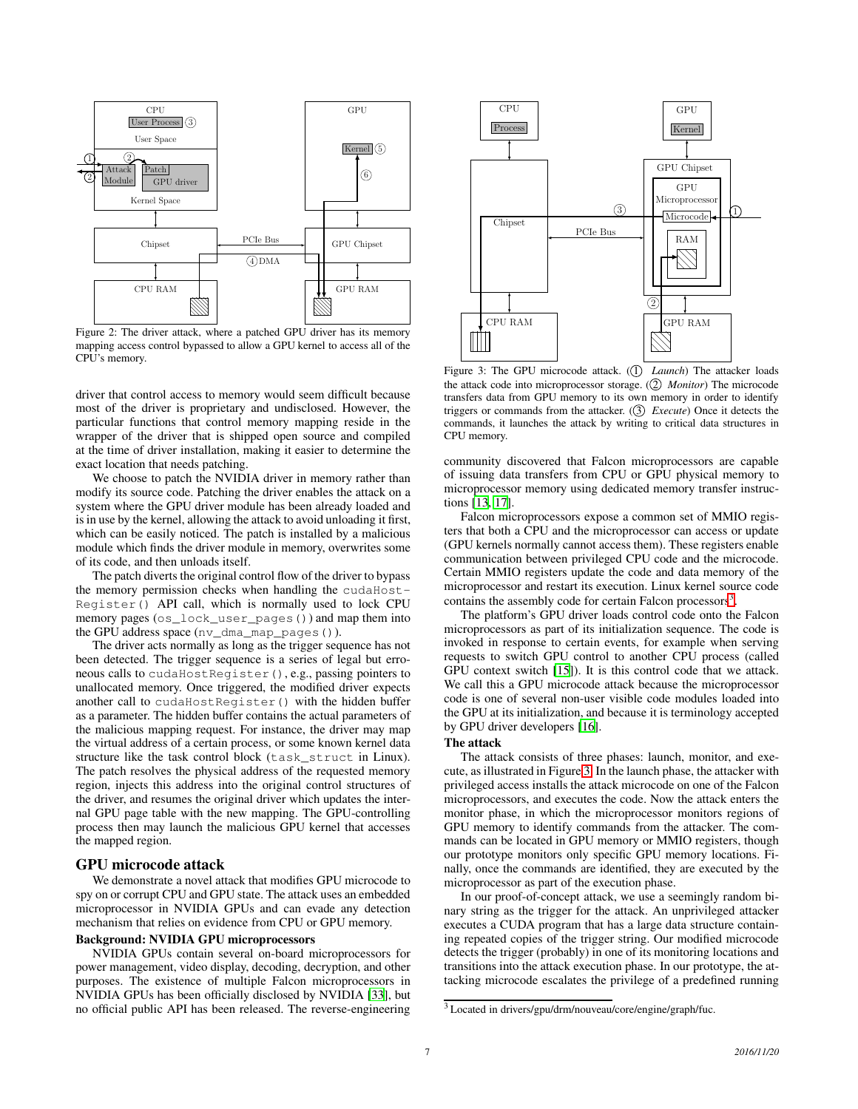<span id="page-6-1"></span>

Figure 2: The driver attack, where a patched GPU driver has its memory mapping access control bypassed to allow a GPU kernel to access all of the CPU's memory.

driver that control access to memory would seem difficult because most of the driver is proprietary and undisclosed. However, the particular functions that control memory mapping reside in the wrapper of the driver that is shipped open source and compiled at the time of driver installation, making it easier to determine the exact location that needs patching.

We choose to patch the NVIDIA driver in memory rather than modify its source code. Patching the driver enables the attack on a system where the GPU driver module has been already loaded and is in use by the kernel, allowing the attack to avoid unloading it first, which can be easily noticed. The patch is installed by a malicious module which finds the driver module in memory, overwrites some of its code, and then unloads itself.

The patch diverts the original control flow of the driver to bypass the memory permission checks when handling the cudaHost-Register() API call, which is normally used to lock CPU memory pages (os\_lock\_user\_pages()) and map them into the GPU address space (nv\_dma\_map\_pages()).

The driver acts normally as long as the trigger sequence has not been detected. The trigger sequence is a series of legal but erroneous calls to cudaHostRegister(), e.g., passing pointers to unallocated memory. Once triggered, the modified driver expects another call to cudaHostRegister() with the hidden buffer as a parameter. The hidden buffer contains the actual parameters of the malicious mapping request. For instance, the driver may map the virtual address of a certain process, or some known kernel data structure like the task control block (task\_struct in Linux). The patch resolves the physical address of the requested memory region, injects this address into the original control structures of the driver, and resumes the original driver which updates the internal GPU page table with the new mapping. The GPU-controlling process then may launch the malicious GPU kernel that accesses the mapped region.

# <span id="page-6-0"></span>GPU microcode attack

We demonstrate a novel attack that modifies GPU microcode to spy on or corrupt CPU and GPU state. The attack uses an embedded microprocessor in NVIDIA GPUs and can evade any detection mechanism that relies on evidence from CPU or GPU memory.

### Background: NVIDIA GPU microprocessors

NVIDIA GPUs contain several on-board microprocessors for power management, video display, decoding, decryption, and other purposes. The existence of multiple Falcon microprocessors in NVIDIA GPUs has been officially disclosed by NVIDIA [\[33](#page-9-2)], but no official public API has been released. The reverse-engineering

<span id="page-6-3"></span>

Figure 3: The GPU microcode attack. (1) *Launch*) The attacker loads the attack code into microprocessor storage. (2) *Monitor*) The microcode transfers data from GPU memory to its own memory in order to identify triggers or commands from the attacker. (3) *Execute*) Once it detects the commands, it launches the attack by writing to critical data structures in CPU memory.

community discovered that Falcon microprocessors are capable of issuing data transfers from CPU or GPU physical memory to microprocessor memory using dedicated memory transfer instructions [\[13,](#page-8-3) [17](#page-9-9)].

Falcon microprocessors expose a common set of MMIO registers that both a CPU and the microprocessor can access or update (GPU kernels normally cannot access them). These registers enable communication between privileged CPU code and the microcode. Certain MMIO registers update the code and data memory of the microprocessor and restart its execution. Linux kernel source code contains the assembly code for certain Falcon processors<sup>[3](#page-6-2)</sup>.

The platform's GPU driver loads control code onto the Falcon microprocessors as part of its initialization sequence. The code is invoked in response to certain events, for example when serving requests to switch GPU control to another CPU process (called GPU context switch [\[15\]](#page-9-23)). It is this control code that we attack. We call this a GPU microcode attack because the microprocessor code is one of several non-user visible code modules loaded into the GPU at its initialization, and because it is terminology accepted by GPU driver developers [\[16](#page-9-24)].

#### The attack

The attack consists of three phases: launch, monitor, and execute, as illustrated in Figure [3.](#page-6-3) In the launch phase, the attacker with privileged access installs the attack microcode on one of the Falcon microprocessors, and executes the code. Now the attack enters the monitor phase, in which the microprocessor monitors regions of GPU memory to identify commands from the attacker. The commands can be located in GPU memory or MMIO registers, though our prototype monitors only specific GPU memory locations. Finally, once the commands are identified, they are executed by the microprocessor as part of the execution phase.

In our proof-of-concept attack, we use a seemingly random binary string as the trigger for the attack. An unprivileged attacker executes a CUDA program that has a large data structure containing repeated copies of the trigger string. Our modified microcode detects the trigger (probably) in one of its monitoring locations and transitions into the attack execution phase. In our prototype, the attacking microcode escalates the privilege of a predefined running

<span id="page-6-2"></span><sup>3</sup> Located in drivers/gpu/drm/nouveau/core/engine/graph/fuc.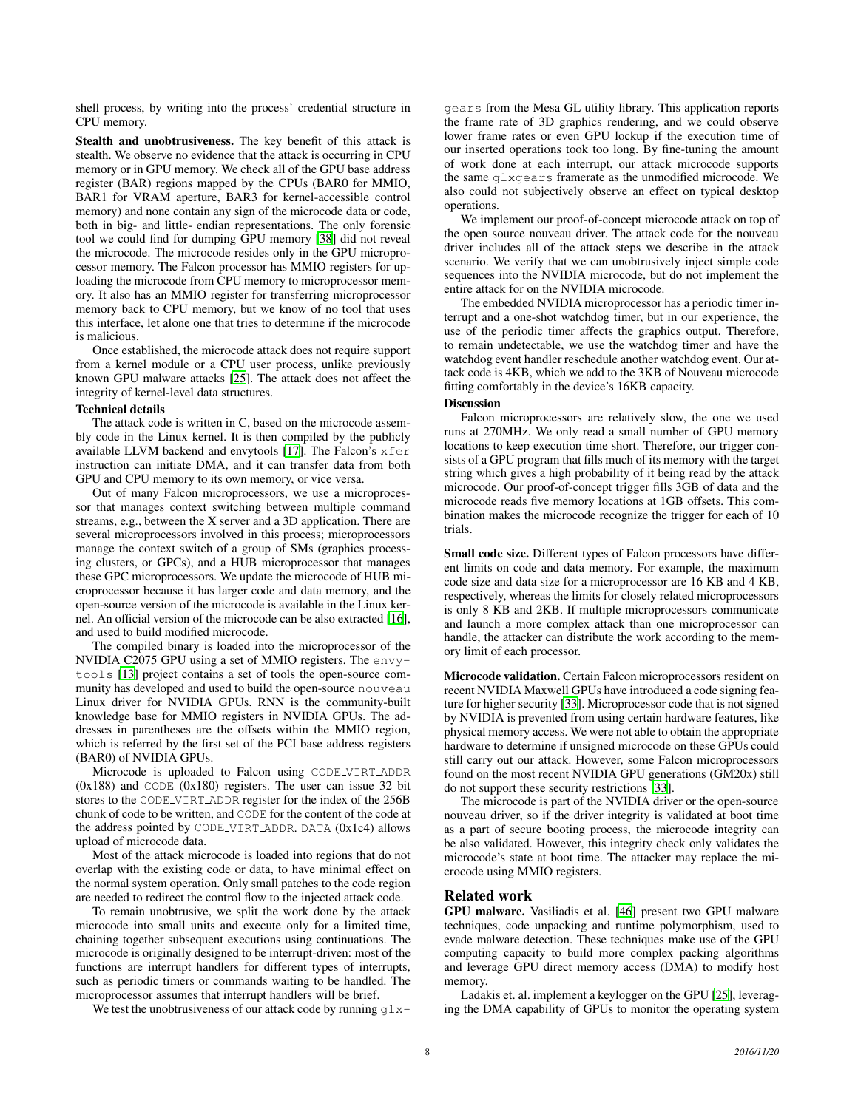shell process, by writing into the process' credential structure in CPU memory.

Stealth and unobtrusiveness. The key benefit of this attack is stealth. We observe no evidence that the attack is occurring in CPU memory or in GPU memory. We check all of the GPU base address register (BAR) regions mapped by the CPUs (BAR0 for MMIO, BAR1 for VRAM aperture, BAR3 for kernel-accessible control memory) and none contain any sign of the microcode data or code, both in big- and little- endian representations. The only forensic tool we could find for dumping GPU memory [\[38](#page-9-25)] did not reveal the microcode. The microcode resides only in the GPU microprocessor memory. The Falcon processor has MMIO registers for uploading the microcode from CPU memory to microprocessor memory. It also has an MMIO register for transferring microprocessor memory back to CPU memory, but we know of no tool that uses this interface, let alone one that tries to determine if the microcode is malicious.

Once established, the microcode attack does not require support from a kernel module or a CPU user process, unlike previously known GPU malware attacks [\[25\]](#page-9-22). The attack does not affect the integrity of kernel-level data structures.

#### Technical details

The attack code is written in C, based on the microcode assembly code in the Linux kernel. It is then compiled by the publicly available LLVM backend and envytools [\[17\]](#page-9-9). The Falcon's xfer instruction can initiate DMA, and it can transfer data from both GPU and CPU memory to its own memory, or vice versa.

Out of many Falcon microprocessors, we use a microprocessor that manages context switching between multiple command streams, e.g., between the X server and a 3D application. There are several microprocessors involved in this process; microprocessors manage the context switch of a group of SMs (graphics processing clusters, or GPCs), and a HUB microprocessor that manages these GPC microprocessors. We update the microcode of HUB microprocessor because it has larger code and data memory, and the open-source version of the microcode is available in the Linux kernel. An official version of the microcode can be also extracted [\[16\]](#page-9-24), and used to build modified microcode.

The compiled binary is loaded into the microprocessor of the NVIDIA C2075 GPU using a set of MMIO registers. The envytools [\[13\]](#page-8-3) project contains a set of tools the open-source community has developed and used to build the open-source nouveau Linux driver for NVIDIA GPUs. RNN is the community-built knowledge base for MMIO registers in NVIDIA GPUs. The addresses in parentheses are the offsets within the MMIO region, which is referred by the first set of the PCI base address registers (BAR0) of NVIDIA GPUs.

Microcode is uploaded to Falcon using CODE VIRT ADDR  $(0x188)$  and CODE  $(0x180)$  registers. The user can issue 32 bit stores to the CODE VIRT ADDR register for the index of the 256B chunk of code to be written, and CODE for the content of the code at the address pointed by CODE VIRT ADDR. DATA (0x1c4) allows upload of microcode data.

Most of the attack microcode is loaded into regions that do not overlap with the existing code or data, to have minimal effect on the normal system operation. Only small patches to the code region are needed to redirect the control flow to the injected attack code.

To remain unobtrusive, we split the work done by the attack microcode into small units and execute only for a limited time, chaining together subsequent executions using continuations. The microcode is originally designed to be interrupt-driven: most of the functions are interrupt handlers for different types of interrupts, such as periodic timers or commands waiting to be handled. The microprocessor assumes that interrupt handlers will be brief.

We test the unobtrusiveness of our attack code by running  $q\ell x$ -

gears from the Mesa GL utility library. This application reports the frame rate of 3D graphics rendering, and we could observe lower frame rates or even GPU lockup if the execution time of our inserted operations took too long. By fine-tuning the amount of work done at each interrupt, our attack microcode supports the same glxgears framerate as the unmodified microcode. We also could not subjectively observe an effect on typical desktop operations.

We implement our proof-of-concept microcode attack on top of the open source nouveau driver. The attack code for the nouveau driver includes all of the attack steps we describe in the attack scenario. We verify that we can unobtrusively inject simple code sequences into the NVIDIA microcode, but do not implement the entire attack for on the NVIDIA microcode.

The embedded NVIDIA microprocessor has a periodic timer interrupt and a one-shot watchdog timer, but in our experience, the use of the periodic timer affects the graphics output. Therefore, to remain undetectable, we use the watchdog timer and have the watchdog event handler reschedule another watchdog event. Our attack code is 4KB, which we add to the 3KB of Nouveau microcode fitting comfortably in the device's 16KB capacity.

# **Discussion**

Falcon microprocessors are relatively slow, the one we used runs at 270MHz. We only read a small number of GPU memory locations to keep execution time short. Therefore, our trigger consists of a GPU program that fills much of its memory with the target string which gives a high probability of it being read by the attack microcode. Our proof-of-concept trigger fills 3GB of data and the microcode reads five memory locations at 1GB offsets. This combination makes the microcode recognize the trigger for each of 10 trials.

Small code size. Different types of Falcon processors have different limits on code and data memory. For example, the maximum code size and data size for a microprocessor are 16 KB and 4 KB, respectively, whereas the limits for closely related microprocessors is only 8 KB and 2KB. If multiple microprocessors communicate and launch a more complex attack than one microprocessor can handle, the attacker can distribute the work according to the memory limit of each processor.

Microcode validation. Certain Falcon microprocessors resident on recent NVIDIA Maxwell GPUs have introduced a code signing feature for higher security [\[33](#page-9-2)]. Microprocessor code that is not signed by NVIDIA is prevented from using certain hardware features, like physical memory access. We were not able to obtain the appropriate hardware to determine if unsigned microcode on these GPUs could still carry out our attack. However, some Falcon microprocessors found on the most recent NVIDIA GPU generations (GM20x) still do not support these security restrictions [\[33](#page-9-2)].

The microcode is part of the NVIDIA driver or the open-source nouveau driver, so if the driver integrity is validated at boot time as a part of secure booting process, the microcode integrity can be also validated. However, this integrity check only validates the microcode's state at boot time. The attacker may replace the microcode using MMIO registers.

#### <span id="page-7-0"></span>Related work

GPU malware. Vasiliadis et al. [\[46](#page-9-26)] present two GPU malware techniques, code unpacking and runtime polymorphism, used to evade malware detection. These techniques make use of the GPU computing capacity to build more complex packing algorithms and leverage GPU direct memory access (DMA) to modify host memory.

Ladakis et. al. implement a keylogger on the GPU [\[25\]](#page-9-22), leveraging the DMA capability of GPUs to monitor the operating system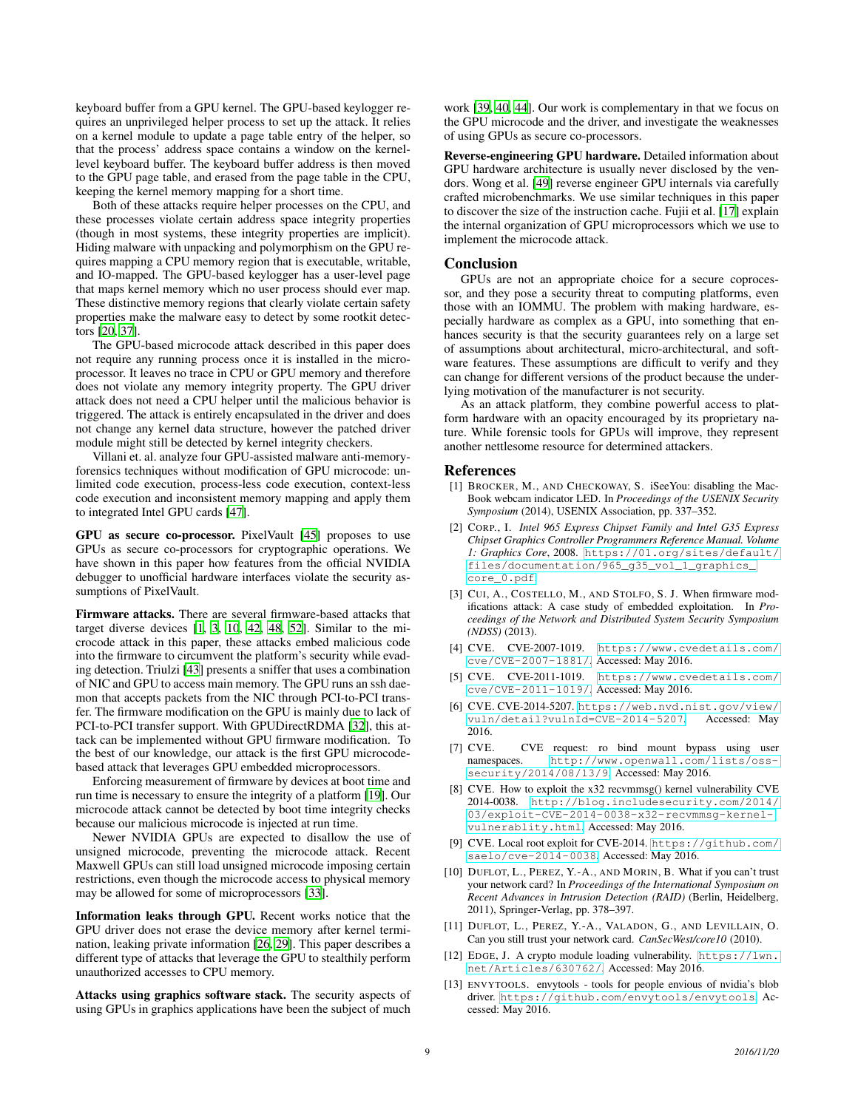keyboard buffer from a GPU kernel. The GPU-based keylogger requires an unprivileged helper process to set up the attack. It relies on a kernel module to update a page table entry of the helper, so that the process' address space contains a window on the kernellevel keyboard buffer. The keyboard buffer address is then moved to the GPU page table, and erased from the page table in the CPU, keeping the kernel memory mapping for a short time.

Both of these attacks require helper processes on the CPU, and these processes violate certain address space integrity properties (though in most systems, these integrity properties are implicit). Hiding malware with unpacking and polymorphism on the GPU requires mapping a CPU memory region that is executable, writable, and IO-mapped. The GPU-based keylogger has a user-level page that maps kernel memory which no user process should ever map. These distinctive memory regions that clearly violate certain safety properties make the malware easy to detect by some rootkit detectors [\[20,](#page-9-27) [37](#page-9-16)].

The GPU-based microcode attack described in this paper does not require any running process once it is installed in the microprocessor. It leaves no trace in CPU or GPU memory and therefore does not violate any memory integrity property. The GPU driver attack does not need a CPU helper until the malicious behavior is triggered. The attack is entirely encapsulated in the driver and does not change any kernel data structure, however the patched driver module might still be detected by kernel integrity checkers.

Villani et. al. analyze four GPU-assisted malware anti-memoryforensics techniques without modification of GPU microcode: unlimited code execution, process-less code execution, context-less code execution and inconsistent memory mapping and apply them to integrated Intel GPU cards [\[47](#page-9-28)].

GPU as secure co-processor. PixelVault [\[45\]](#page-9-0) proposes to use GPUs as secure co-processors for cryptographic operations. We have shown in this paper how features from the official NVIDIA debugger to unofficial hardware interfaces violate the security assumptions of PixelVault.

Firmware attacks. There are several firmware-based attacks that target diverse devices [\[1](#page-8-12), [3,](#page-8-11) [10,](#page-8-0) [42,](#page-9-29) [48,](#page-9-30) [52\]](#page-9-31). Similar to the microcode attack in this paper, these attacks embed malicious code into the firmware to circumvent the platform's security while evading detection. Triulzi [\[43](#page-9-32)] presents a sniffer that uses a combination of NIC and GPU to access main memory. The GPU runs an ssh daemon that accepts packets from the NIC through PCI-to-PCI transfer. The firmware modification on the GPU is mainly due to lack of PCI-to-PCI transfer support. With GPUDirectRDMA [\[32](#page-9-8)], this attack can be implemented without GPU firmware modification. To the best of our knowledge, our attack is the first GPU microcodebased attack that leverages GPU embedded microprocessors.

Enforcing measurement of firmware by devices at boot time and run time is necessary to ensure the integrity of a platform [\[19\]](#page-9-33). Our microcode attack cannot be detected by boot time integrity checks because our malicious microcode is injected at run time.

Newer NVIDIA GPUs are expected to disallow the use of unsigned microcode, preventing the microcode attack. Recent Maxwell GPUs can still load unsigned microcode imposing certain restrictions, even though the microcode access to physical memory may be allowed for some of microprocessors [\[33](#page-9-2)].

Information leaks through GPU. Recent works notice that the GPU driver does not erase the device memory after kernel termination, leaking private information [\[26](#page-9-34), [29\]](#page-9-35). This paper describes a different type of attacks that leverage the GPU to stealthily perform unauthorized accesses to CPU memory.

Attacks using graphics software stack. The security aspects of using GPUs in graphics applications have been the subject of much

work [\[39,](#page-9-36) [40](#page-9-37), [44\]](#page-9-38). Our work is complementary in that we focus on the GPU microcode and the driver, and investigate the weaknesses of using GPUs as secure co-processors.

Reverse-engineering GPU hardware. Detailed information about GPU hardware architecture is usually never disclosed by the vendors. Wong et al. [\[49\]](#page-9-5) reverse engineer GPU internals via carefully crafted microbenchmarks. We use similar techniques in this paper to discover the size of the instruction cache. Fujii et al. [\[17\]](#page-9-9) explain the internal organization of GPU microprocessors which we use to implement the microcode attack.

#### Conclusion

GPUs are not an appropriate choice for a secure coprocessor, and they pose a security threat to computing platforms, even those with an IOMMU. The problem with making hardware, especially hardware as complex as a GPU, into something that enhances security is that the security guarantees rely on a large set of assumptions about architectural, micro-architectural, and software features. These assumptions are difficult to verify and they can change for different versions of the product because the underlying motivation of the manufacturer is not security.

As an attack platform, they combine powerful access to platform hardware with an opacity encouraged by its proprietary nature. While forensic tools for GPUs will improve, they represent another nettlesome resource for determined attackers.

### References

- <span id="page-8-12"></span>[1] BROCKER, M., AND CHECKOWAY, S. iSeeYou: disabling the Mac-Book webcam indicator LED. In *Proceedings of the USENIX Security Symposium* (2014), USENIX Association, pp. 337–352.
- <span id="page-8-2"></span>[2] CORP., I. *Intel 965 Express Chipset Family and Intel G35 Express Chipset Graphics Controller Programmers Reference Manual. Volume 1: Graphics Core*, 2008. [https://01.org/sites/default/](https://01.org/sites/default/files/documentation/965_g35_vol_1_graphics_core_0.pdf) [files/documentation/965\\_g35\\_vol\\_1\\_graphics\\_](https://01.org/sites/default/files/documentation/965_g35_vol_1_graphics_core_0.pdf) [core\\_0.pdf](https://01.org/sites/default/files/documentation/965_g35_vol_1_graphics_core_0.pdf).
- <span id="page-8-11"></span>[3] CUI, A., COSTELLO, M., AND STOLFO, S. J. When firmware modifications attack: A case study of embedded exploitation. In *Proceedings of the Network and Distributed System Security Symposium (NDSS)* (2013).
- <span id="page-8-4"></span>[4] CVE. CVE-2007-1019. [https://www.cvedetails.com/](https://www.cvedetails.com/cve/CVE-2007-1881/) [cve/CVE-2007-1881/](https://www.cvedetails.com/cve/CVE-2007-1881/). Accessed: May 2016.
- <span id="page-8-7"></span>[5] CVE. CVE-2011-1019. [https://www.cvedetails.com/](https://www.cvedetails.com/cve/CVE-2011-1019/) [cve/CVE-2011-1019/](https://www.cvedetails.com/cve/CVE-2011-1019/). Accessed: May 2016.
- <span id="page-8-5"></span>[6] CVE. CVE-2014-5207. [https://web.nvd.nist.gov/view/](https://web.nvd.nist.gov/view/vuln/detail?vulnId=CVE-2014-5207) [vuln/detail?vulnId=CVE-2014-5207](https://web.nvd.nist.gov/view/vuln/detail?vulnId=CVE-2014-5207). Accessed: May 2016.
- <span id="page-8-6"></span>[7] CVE. CVE request: ro bind mount bypass using user namespaces. [http://www.openwall.com/lists/oss](http://www.openwall.com/lists/oss-security/2014/08/13/9)[security/2014/08/13/9](http://www.openwall.com/lists/oss-security/2014/08/13/9). Accessed: May 2016.
- <span id="page-8-8"></span>[8] CVE. How to exploit the x32 recvmmsg() kernel vulnerability CVE 2014-0038. [http://blog.includesecurity.com/2014/](http://blog.includesecurity.com/2014/03/exploit-CVE-2014-0038-x32-recvmmsg-kernel-vulnerablity.html) [03/exploit-CVE-2014-0038-x32-recvmmsg-kernel](http://blog.includesecurity.com/2014/03/exploit-CVE-2014-0038-x32-recvmmsg-kernel-vulnerablity.html)[vulnerablity.html](http://blog.includesecurity.com/2014/03/exploit-CVE-2014-0038-x32-recvmmsg-kernel-vulnerablity.html). Accessed: May 2016.
- <span id="page-8-9"></span>[9] CVE. Local root exploit for CVE-2014. [https://github.com/](https://github.com/saelo/cve-2014-0038) [saelo/cve-2014-0038](https://github.com/saelo/cve-2014-0038). Accessed: May 2016.
- <span id="page-8-0"></span>[10] DUFLOT, L., PEREZ, Y.-A., AND MORIN, B. What if you can't trust your network card? In *Proceedings of the International Symposium on Recent Advances in Intrusion Detection (RAID)* (Berlin, Heidelberg, 2011), Springer-Verlag, pp. 378–397.
- <span id="page-8-1"></span>[11] DUFLOT, L., PEREZ, Y.-A., VALADON, G., AND LEVILLAIN, O. Can you still trust your network card. *CanSecWest/core10* (2010).
- <span id="page-8-10"></span>[12] EDGE, J. A crypto module loading vulnerability. [https://lwn.](https://lwn.net/Articles/630762/) [net/Articles/630762/](https://lwn.net/Articles/630762/). Accessed: May 2016.
- <span id="page-8-3"></span>[13] ENVYTOOLS. envytools - tools for people envious of nvidia's blob driver. <https://github.com/envytools/envytools>. Accessed: May 2016.